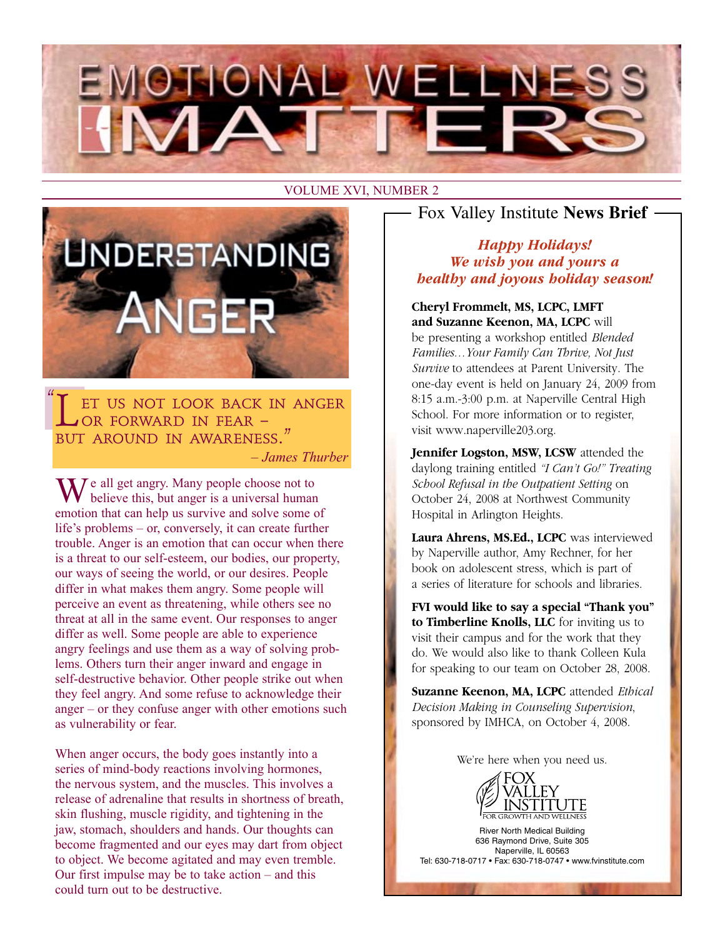



ET US NOT LOOK BACK IN ANGER or forward in fear – but around in awareness." *– James Thurber*  $\frac{1}{\sqrt{2}}$ 

 $M^e$  all get angry. Many people choose not to believe this, but anger is a universal human emotion that can help us survive and solve some of life's problems – or, conversely, it can create further trouble. Anger is an emotion that can occur when there is a threat to our self-esteem, our bodies, our property, our ways of seeing the world, or our desires. People differ in what makes them angry. Some people will perceive an event as threatening, while others see no threat at all in the same event. Our responses to anger differ as well. Some people are able to experience angry feelings and use them as a way of solving problems. Others turn their anger inward and engage in self-destructive behavior. Other people strike out when they feel angry. And some refuse to acknowledge their anger – or they confuse anger with other emotions such as vulnerability or fear.

When anger occurs, the body goes instantly into a series of mind-body reactions involving hormones, the nervous system, and the muscles. This involves a release of adrenaline that results in shortness of breath, skin flushing, muscle rigidity, and tightening in the jaw, stomach, shoulders and hands. Our thoughts can become fragmented and our eyes may dart from object to object. We become agitated and may even tremble. Our first impulse may be to take action – and this could turn out to be destructive.

Fox Valley Institute **News Brief**

#### *Happy Holidays! We wish you and yours a healthy and joyous holiday season!*

**Cheryl Frommelt, MS, LCPC, LMFT and Suzanne Keenon, MA, LCPC** will be presenting a workshop entitled *Blended Families…Your Family Can Thrive, Not Just Survive* to attendees at Parent University. The one-day event is held on January 24, 2009 from 8:15 a.m.-3:00 p.m. at Naperville Central High School. For more information or to register, visit www.naperville203.org.

**Jennifer Logston, MSW, LCSW** attended the daylong training entitled *"I Can't Go!" Treating School Refusal in the Outpatient Setting* on October 24, 2008 at Northwest Community Hospital in Arlington Heights.

**Laura Ahrens, MS.Ed., LCPC** was interviewed by Naperville author, Amy Rechner, for her book on adolescent stress, which is part of a series of literature for schools and libraries.

**FVI would like to say a special "Thank you" to Timberline Knolls, LLC** for inviting us to visit their campus and for the work that they do. We would also like to thank Colleen Kula for speaking to our team on October 28, 2008.

**Suzanne Keenon, MA, LCPC** attended *Ethical Decision Making in Counseling Supervision*, sponsored by IMHCA, on October 4, 2008.

We're here when you need us.



River North Medical Building 636 Raymond Drive, Suite 305 Naperville, IL 60563 Tel: 630-718-0717 • Fax: 630-718-0747 • www.fvinstitute.com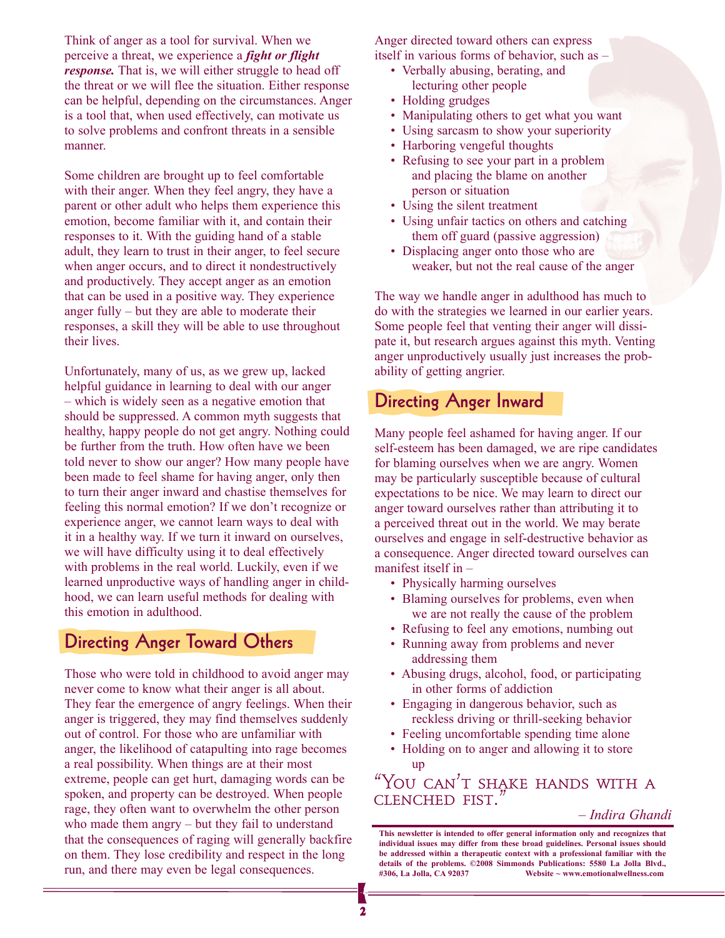Think of anger as a tool for survival. When we perceive a threat, we experience a *fight or flight response*. That is, we will either struggle to head off the threat or we will flee the situation. Either response can be helpful, depending on the circumstances. Anger is a tool that, when used effectively, can motivate us to solve problems and confront threats in a sensible manner.

Some children are brought up to feel comfortable with their anger. When they feel angry, they have a parent or other adult who helps them experience this emotion, become familiar with it, and contain their responses to it. With the guiding hand of a stable adult, they learn to trust in their anger, to feel secure when anger occurs, and to direct it nondestructively and productively. They accept anger as an emotion that can be used in a positive way. They experience anger fully – but they are able to moderate their responses, a skill they will be able to use throughout their lives.

Unfortunately, many of us, as we grew up, lacked helpful guidance in learning to deal with our anger – which is widely seen as a negative emotion that should be suppressed. A common myth suggests that healthy, happy people do not get angry. Nothing could be further from the truth. How often have we been told never to show our anger? How many people have been made to feel shame for having anger, only then to turn their anger inward and chastise themselves for feeling this normal emotion? If we don't recognize or experience anger, we cannot learn ways to deal with it in a healthy way. If we turn it inward on ourselves, we will have difficulty using it to deal effectively with problems in the real world. Luckily, even if we learned unproductive ways of handling anger in childhood, we can learn useful methods for dealing with this emotion in adulthood.

#### **Directing Anger Toward Others**

Those who were told in childhood to avoid anger may never come to know what their anger is all about. They fear the emergence of angry feelings. When their anger is triggered, they may find themselves suddenly out of control. For those who are unfamiliar with anger, the likelihood of catapulting into rage becomes a real possibility. When things are at their most extreme, people can get hurt, damaging words can be spoken, and property can be destroyed. When people rage, they often want to overwhelm the other person who made them angry – but they fail to understand that the consequences of raging will generally backfire on them. They lose credibility and respect in the long run, and there may even be legal consequences.

Anger directed toward others can express itself in various forms of behavior, such as –

- Verbally abusing, berating, and lecturing other people
- Holding grudges
- Manipulating others to get what you want
- Using sarcasm to show your superiority
- Harboring vengeful thoughts
- Refusing to see your part in a problem and placing the blame on another person or situation
- Using the silent treatment
- Using unfair tactics on others and catching them off guard (passive aggression)
- Displacing anger onto those who are weaker, but not the real cause of the anger

The way we handle anger in adulthood has much to do with the strategies we learned in our earlier years. Some people feel that venting their anger will dissipate it, but research argues against this myth. Venting anger unproductively usually just increases the probability of getting angrier.

### **Directing Anger Inward**

Many people feel ashamed for having anger. If our self-esteem has been damaged, we are ripe candidates for blaming ourselves when we are angry. Women may be particularly susceptible because of cultural expectations to be nice. We may learn to direct our anger toward ourselves rather than attributing it to a perceived threat out in the world. We may berate ourselves and engage in self-destructive behavior as a consequence. Anger directed toward ourselves can manifest itself in –

- Physically harming ourselves
- Blaming ourselves for problems, even when we are not really the cause of the problem
- Refusing to feel any emotions, numbing out
- Running away from problems and never addressing them
- Abusing drugs, alcohol, food, or participating in other forms of addiction
- Engaging in dangerous behavior, such as reckless driving or thrill-seeking behavior
- Feeling uncomfortable spending time alone
- Holding on to anger and allowing it to store up

"You can't shake hands with a CLENCHED FIST.

*– Indira Ghandi*

**This newsletter is intended to offer general information only and recognizes that individual issues may differ from these broad guidelines. Personal issues should be addressed within a therapeutic context with a professional familiar with the details of the problems. ©2008 Simmonds Publications: 5580 La Jolla Blvd., #306, La Jolla, CA 92037 Website ~ www.emotionalwellness.com**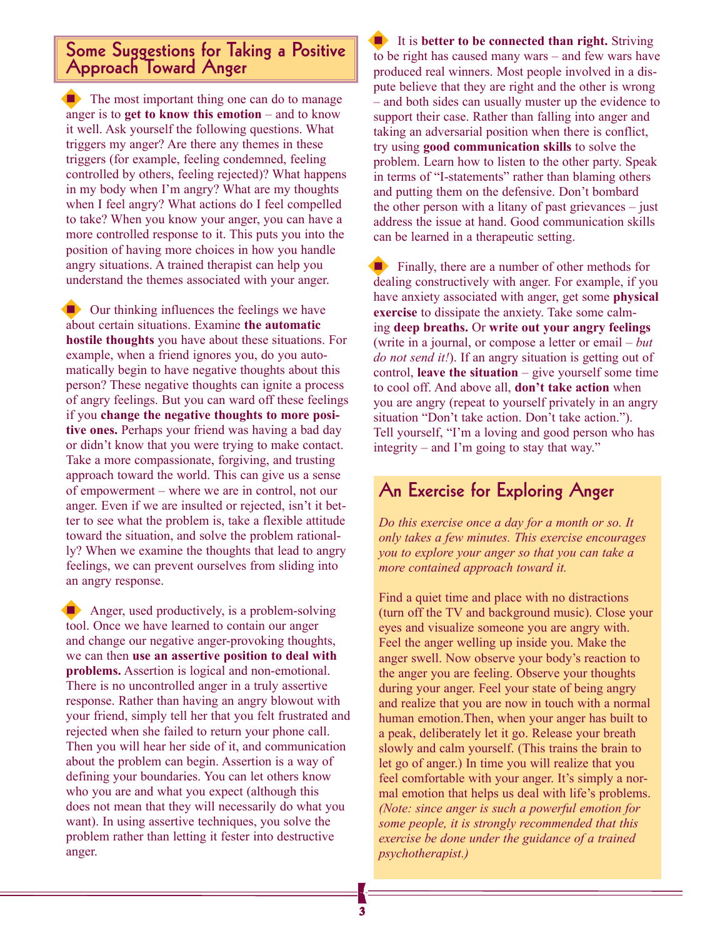#### **Some Suggestions for Taking a Positive Approach Toward Anger**

 $\blacksquare$  The most important thing one can do to manage anger is to **get to know this emotion** – and to know it well. Ask yourself the following questions. What triggers my anger? Are there any themes in these triggers (for example, feeling condemned, feeling controlled by others, feeling rejected)? What happens in my body when I'm angry? What are my thoughts when I feel angry? What actions do I feel compelled to take? When you know your anger, you can have a more controlled response to it. This puts you into the position of having more choices in how you handle angry situations. A trained therapist can help you understand the themes associated with your anger.

Our thinking influences the feelings we have about certain situations. Examine **the automatic hostile thoughts** you have about these situations. For example, when a friend ignores you, do you automatically begin to have negative thoughts about this person? These negative thoughts can ignite a process of angry feelings. But you can ward off these feelings if you **change the negative thoughts to more positive ones.** Perhaps your friend was having a bad day or didn't know that you were trying to make contact. Take a more compassionate, forgiving, and trusting approach toward the world. This can give us a sense of empowerment – where we are in control, not our anger. Even if we are insulted or rejected, isn't it better to see what the problem is, take a flexible attitude toward the situation, and solve the problem rationally? When we examine the thoughts that lead to angry feelings, we can prevent ourselves from sliding into an angry response.

Anger, used productively, is a problem-solving tool. Once we have learned to contain our anger and change our negative anger-provoking thoughts, we can then **use an assertive position to deal with problems.** Assertion is logical and non-emotional. There is no uncontrolled anger in a truly assertive response. Rather than having an angry blowout with your friend, simply tell her that you felt frustrated and rejected when she failed to return your phone call. Then you will hear her side of it, and communication about the problem can begin. Assertion is a way of defining your boundaries. You can let others know who you are and what you expect (although this does not mean that they will necessarily do what you want). In using assertive techniques, you solve the problem rather than letting it fester into destructive anger.

n It is **better to be connected than right.** Striving to be right has caused many wars – and few wars have produced real winners. Most people involved in a dispute believe that they are right and the other is wrong – and both sides can usually muster up the evidence to support their case. Rather than falling into anger and taking an adversarial position when there is conflict, try using **good communication skills** to solve the problem. Learn how to listen to the other party. Speak in terms of "I-statements" rather than blaming others and putting them on the defensive. Don't bombard the other person with a litany of past grievances – just address the issue at hand. Good communication skills can be learned in a therapeutic setting.

**n** Finally, there are a number of other methods for dealing constructively with anger. For example, if you have anxiety associated with anger, get some **physical exercise** to dissipate the anxiety. Take some calming **deep breaths.** Or **write out your angry feelings**  (write in a journal, or compose a letter or email – *but do not send it!*). If an angry situation is getting out of control, **leave the situation** – give yourself some time to cool off. And above all, **don't take action** when you are angry (repeat to yourself privately in an angry situation "Don't take action. Don't take action."). Tell yourself, "I'm a loving and good person who has integrity – and I'm going to stay that way."

#### **An Exercise for Exploring Anger**

*Do this exercise once a day for a month or so. It only takes a few minutes. This exercise encourages you to explore your anger so that you can take a more contained approach toward it.* 

Find a quiet time and place with no distractions (turn off the TV and background music). Close your eyes and visualize someone you are angry with. Feel the anger welling up inside you. Make the anger swell. Now observe your body's reaction to the anger you are feeling. Observe your thoughts during your anger. Feel your state of being angry and realize that you are now in touch with a normal human emotion.Then, when your anger has built to a peak, deliberately let it go. Release your breath slowly and calm yourself. (This trains the brain to let go of anger.) In time you will realize that you feel comfortable with your anger. It's simply a normal emotion that helps us deal with life's problems. *(Note: since anger is such a powerful emotion for some people, it is strongly recommended that this exercise be done under the guidance of a trained psychotherapist.)*